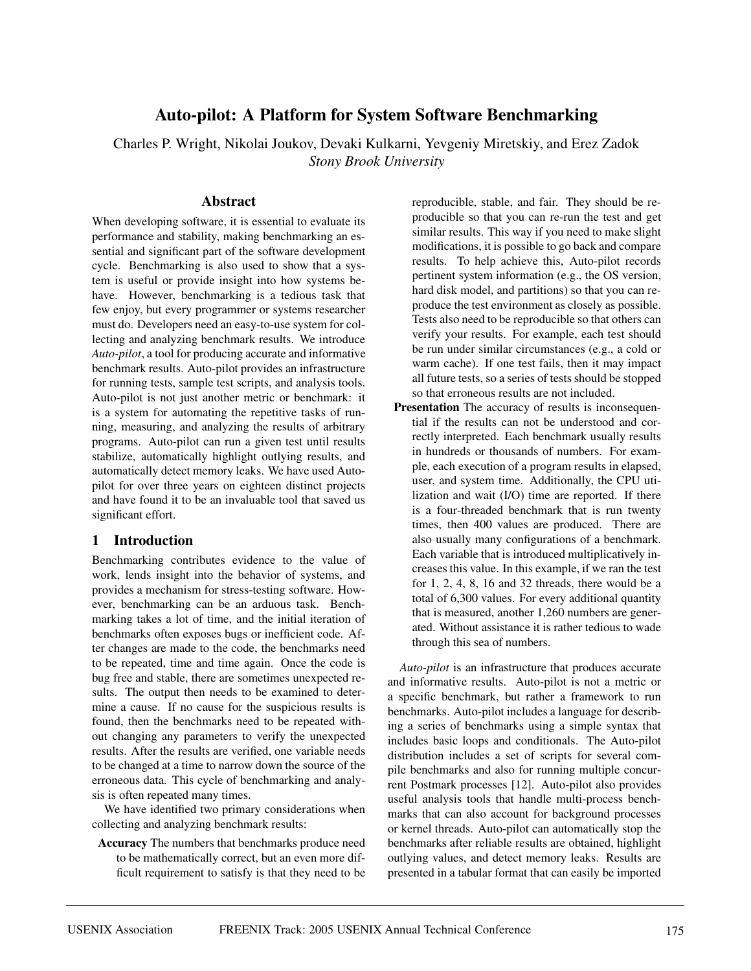# **Auto-pilot: A Platform for System Software Benchmarking**

Charles P. Wright, Nikolai Joukov, Devaki Kulkarni, Yevgeniy Miretskiy, and Erez Zadok *Stony Brook University*

#### **Abstract**

When developing software, it is essential to evaluate its performance and stability, making benchmarking an essential and significant part of the software development cycle. Benchmarking is also used to show that a system is useful or provide insight into how systems behave. However, benchmarking is a tedious task that few enjoy, but every programmer or systems researcher must do. Developers need an easy-to-use system for collecting and analyzing benchmark results. We introduce *Auto-pilot*, a tool for producing accurate and informative benchmark results. Auto-pilot provides an infrastructure for running tests, sample test scripts, and analysis tools. Auto-pilot is not just another metric or benchmark: it is a system for automating the repetitive tasks of running, measuring, and analyzing the results of arbitrary programs. Auto-pilot can run a given test until results stabilize, automatically highlight outlying results, and automatically detect memory leaks. We have used Autopilot for over three years on eighteen distinct projects and have found it to be an invaluable tool that saved us significant effort.

### **1 Introduction**

Benchmarking contributes evidence to the value of work, lends insight into the behavior of systems, and provides a mechanism for stress-testing software. However, benchmarking can be an arduous task. Benchmarking takes a lot of time, and the initial iteration of benchmarks often exposes bugs or inefficient code. After changes are made to the code, the benchmarks need to be repeated, time and time again. Once the code is bug free and stable, there are sometimes unexpected results. The output then needs to be examined to determine a cause. If no cause for the suspicious results is found, then the benchmarks need to be repeated without changing any parameters to verify the unexpected results. After the results are verified, one variable needs to be changed at a time to narrow down the source of the erroneous data. This cycle of benchmarking and analysis is often repeated many times.

We have identified two primary considerations when collecting and analyzing benchmark results:

**Accuracy** The numbers that benchmarks produce need to be mathematically correct, but an even more difficult requirement to satisfy is that they need to be reproducible, stable, and fair. They should be reproducible so that you can re-run the test and get similar results. This way if you need to make slight modifications, it is possible to go back and compare results. To help achieve this, Auto-pilot records pertinent system information (e.g., the OS version, hard disk model, and partitions) so that you can reproduce the test environment as closely as possible. Tests also need to be reproducible so that others can verify your results. For example, each test should be run under similar circumstances (e.g., a cold or warm cache). If one test fails, then it may impact all future tests, so a series of tests should be stopped so that erroneous results are not included.

**Presentation** The accuracy of results is inconsequential if the results can not be understood and correctly interpreted. Each benchmark usually results in hundreds or thousands of numbers. For example, each execution of a program results in elapsed, user, and system time. Additionally, the CPU utilization and wait (I/O) time are reported. If there is a four-threaded benchmark that is run twenty times, then 400 values are produced. There are also usually many configurations of a benchmark. Each variable that is introduced multiplicatively increases this value. In this example, if we ran the test for 1, 2, 4, 8, 16 and 32 threads, there would be a total of 6,300 values. For every additional quantity that is measured, another 1,260 numbers are generated. Without assistance it is rather tedious to wade through this sea of numbers.

*Auto-pilot* is an infrastructure that produces accurate and informative results. Auto-pilot is not a metric or a specific benchmark, but rather a framework to run benchmarks. Auto-pilot includes a language for describing a series of benchmarks using a simple syntax that includes basic loops and conditionals. The Auto-pilot distribution includes a set of scripts for several compile benchmarks and also for running multiple concurrent Postmark processes [12]. Auto-pilot also provides useful analysis tools that handle multi-process benchmarks that can also account for background processes or kernel threads. Auto-pilot can automatically stop the benchmarks after reliable results are obtained, highlight outlying values, and detect memory leaks. Results are presented in a tabular format that can easily be imported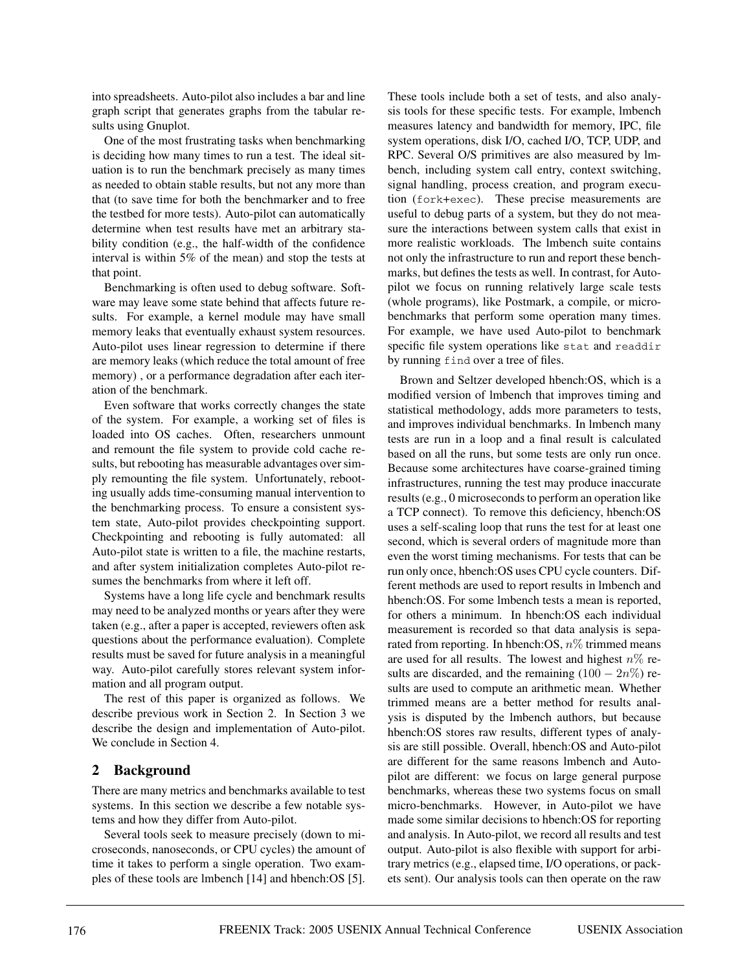into spreadsheets. Auto-pilot also includes a bar and line graph script that generates graphs from the tabular results using Gnuplot.

One of the most frustrating tasks when benchmarking is deciding how many times to run a test. The ideal situation is to run the benchmark precisely as many times as needed to obtain stable results, but not any more than that (to save time for both the benchmarker and to free the testbed for more tests). Auto-pilot can automatically determine when test results have met an arbitrary stability condition (e.g., the half-width of the confidence interval is within 5% of the mean) and stop the tests at that point.

Benchmarking is often used to debug software. Software may leave some state behind that affects future results. For example, a kernel module may have small memory leaks that eventually exhaust system resources. Auto-pilot uses linear regression to determine if there are memory leaks (which reduce the total amount of free memory) , or a performance degradation after each iteration of the benchmark.

Even software that works correctly changes the state of the system. For example, a working set of files is loaded into OS caches. Often, researchers unmount and remount the file system to provide cold cache results, but rebooting has measurable advantages over simply remounting the file system. Unfortunately, rebooting usually adds time-consuming manual intervention to the benchmarking process. To ensure a consistent system state, Auto-pilot provides checkpointing support. Checkpointing and rebooting is fully automated: all Auto-pilot state is written to a file, the machine restarts, and after system initialization completes Auto-pilot resumes the benchmarks from where it left off.

Systems have a long life cycle and benchmark results may need to be analyzed months or years after they were taken (e.g., after a paper is accepted, reviewers often ask questions about the performance evaluation). Complete results must be saved for future analysis in a meaningful way. Auto-pilot carefully stores relevant system information and all program output.

The rest of this paper is organized as follows. We describe previous work in Section 2. In Section 3 we describe the design and implementation of Auto-pilot. We conclude in Section 4.

### **2 Background**

There are many metrics and benchmarks available to test systems. In this section we describe a few notable systems and how they differ from Auto-pilot.

Several tools seek to measure precisely (down to microseconds, nanoseconds, or CPU cycles) the amount of time it takes to perform a single operation. Two examples of these tools are lmbench [14] and hbench:OS [5].

These tools include both a set of tests, and also analysis tools for these specific tests. For example, lmbench measures latency and bandwidth for memory, IPC, file system operations, disk I/O, cached I/O, TCP, UDP, and RPC. Several O/S primitives are also measured by lmbench, including system call entry, context switching, signal handling, process creation, and program execution (fork+exec). These precise measurements are useful to debug parts of a system, but they do not measure the interactions between system calls that exist in more realistic workloads. The lmbench suite contains not only the infrastructure to run and report these benchmarks, but defines the tests as well. In contrast, for Autopilot we focus on running relatively large scale tests (whole programs), like Postmark, a compile, or microbenchmarks that perform some operation many times. For example, we have used Auto-pilot to benchmark specific file system operations like stat and readdir by running find over a tree of files.

Brown and Seltzer developed hbench:OS, which is a modified version of lmbench that improves timing and statistical methodology, adds more parameters to tests, and improves individual benchmarks. In lmbench many tests are run in a loop and a final result is calculated based on all the runs, but some tests are only run once. Because some architectures have coarse-grained timing infrastructures, running the test may produce inaccurate results (e.g., 0 microseconds to perform an operation like a TCP connect). To remove this deficiency, hbench:OS uses a self-scaling loop that runs the test for at least one second, which is several orders of magnitude more than even the worst timing mechanisms. For tests that can be run only once, hbench:OS uses CPU cycle counters. Different methods are used to report results in lmbench and hbench:OS. For some lmbench tests a mean is reported, for others a minimum. In hbench:OS each individual measurement is recorded so that data analysis is separated from reporting. In hbench: OS,  $n\%$  trimmed means are used for all results. The lowest and highest  $n\%$  results are discarded, and the remaining  $(100 - 2n\%)$  results are used to compute an arithmetic mean. Whether trimmed means are a better method for results analysis is disputed by the lmbench authors, but because hbench:OS stores raw results, different types of analysis are still possible. Overall, hbench:OS and Auto-pilot are different for the same reasons lmbench and Autopilot are different: we focus on large general purpose benchmarks, whereas these two systems focus on small micro-benchmarks. However, in Auto-pilot we have made some similar decisions to hbench:OS for reporting and analysis. In Auto-pilot, we record all results and test output. Auto-pilot is also flexible with support for arbitrary metrics (e.g., elapsed time, I/O operations, or packets sent). Our analysis tools can then operate on the raw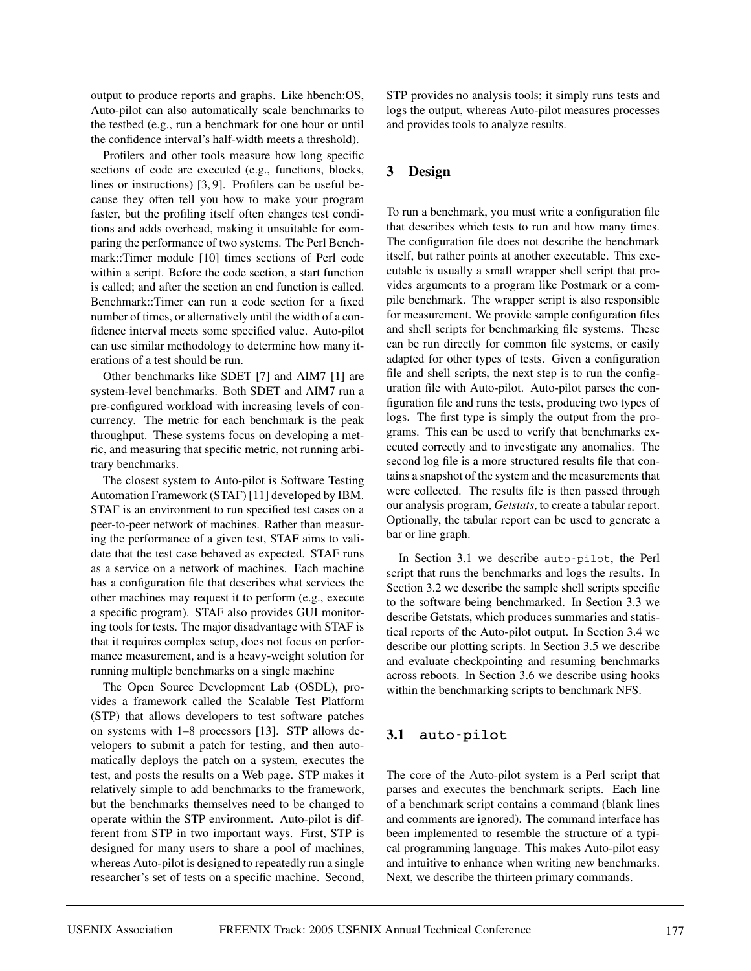output to produce reports and graphs. Like hbench:OS, Auto-pilot can also automatically scale benchmarks to the testbed (e.g., run a benchmark for one hour or until the confidence interval's half-width meets a threshold).

Profilers and other tools measure how long specific sections of code are executed (e.g., functions, blocks, lines or instructions) [3, 9]. Profilers can be useful because they often tell you how to make your program faster, but the profiling itself often changes test conditions and adds overhead, making it unsuitable for comparing the performance of two systems. The Perl Benchmark::Timer module [10] times sections of Perl code within a script. Before the code section, a start function is called; and after the section an end function is called. Benchmark::Timer can run a code section for a fixed number of times, or alternatively until the width of a confidence interval meets some specified value. Auto-pilot can use similar methodology to determine how many iterations of a test should be run.

Other benchmarks like SDET [7] and AIM7 [1] are system-level benchmarks. Both SDET and AIM7 run a pre-configured workload with increasing levels of concurrency. The metric for each benchmark is the peak throughput. These systems focus on developing a metric, and measuring that specific metric, not running arbitrary benchmarks.

The closest system to Auto-pilot is Software Testing Automation Framework (STAF) [11] developed by IBM. STAF is an environment to run specified test cases on a peer-to-peer network of machines. Rather than measuring the performance of a given test, STAF aims to validate that the test case behaved as expected. STAF runs as a service on a network of machines. Each machine has a configuration file that describes what services the other machines may request it to perform (e.g., execute a specific program). STAF also provides GUI monitoring tools for tests. The major disadvantage with STAF is that it requires complex setup, does not focus on performance measurement, and is a heavy-weight solution for running multiple benchmarks on a single machine

The Open Source Development Lab (OSDL), provides a framework called the Scalable Test Platform (STP) that allows developers to test software patches on systems with 1–8 processors [13]. STP allows developers to submit a patch for testing, and then automatically deploys the patch on a system, executes the test, and posts the results on a Web page. STP makes it relatively simple to add benchmarks to the framework, but the benchmarks themselves need to be changed to operate within the STP environment. Auto-pilot is different from STP in two important ways. First, STP is designed for many users to share a pool of machines, whereas Auto-pilot is designed to repeatedly run a single researcher's set of tests on a specific machine. Second, STP provides no analysis tools; it simply runs tests and logs the output, whereas Auto-pilot measures processes and provides tools to analyze results.

# **3 Design**

To run a benchmark, you must write a configuration file that describes which tests to run and how many times. The configuration file does not describe the benchmark itself, but rather points at another executable. This executable is usually a small wrapper shell script that provides arguments to a program like Postmark or a compile benchmark. The wrapper script is also responsible for measurement. We provide sample configuration files and shell scripts for benchmarking file systems. These can be run directly for common file systems, or easily adapted for other types of tests. Given a configuration file and shell scripts, the next step is to run the configuration file with Auto-pilot. Auto-pilot parses the configuration file and runs the tests, producing two types of logs. The first type is simply the output from the programs. This can be used to verify that benchmarks executed correctly and to investigate any anomalies. The second log file is a more structured results file that contains a snapshot of the system and the measurements that were collected. The results file is then passed through our analysis program, *Getstats*, to create a tabular report. Optionally, the tabular report can be used to generate a bar or line graph.

In Section 3.1 we describe auto-pilot, the Perl script that runs the benchmarks and logs the results. In Section 3.2 we describe the sample shell scripts specific to the software being benchmarked. In Section 3.3 we describe Getstats, which produces summaries and statistical reports of the Auto-pilot output. In Section 3.4 we describe our plotting scripts. In Section 3.5 we describe and evaluate checkpointing and resuming benchmarks across reboots. In Section 3.6 we describe using hooks within the benchmarking scripts to benchmark NFS.

### **3.1 auto-pilot**

The core of the Auto-pilot system is a Perl script that parses and executes the benchmark scripts. Each line of a benchmark script contains a command (blank lines and comments are ignored). The command interface has been implemented to resemble the structure of a typical programming language. This makes Auto-pilot easy and intuitive to enhance when writing new benchmarks. Next, we describe the thirteen primary commands.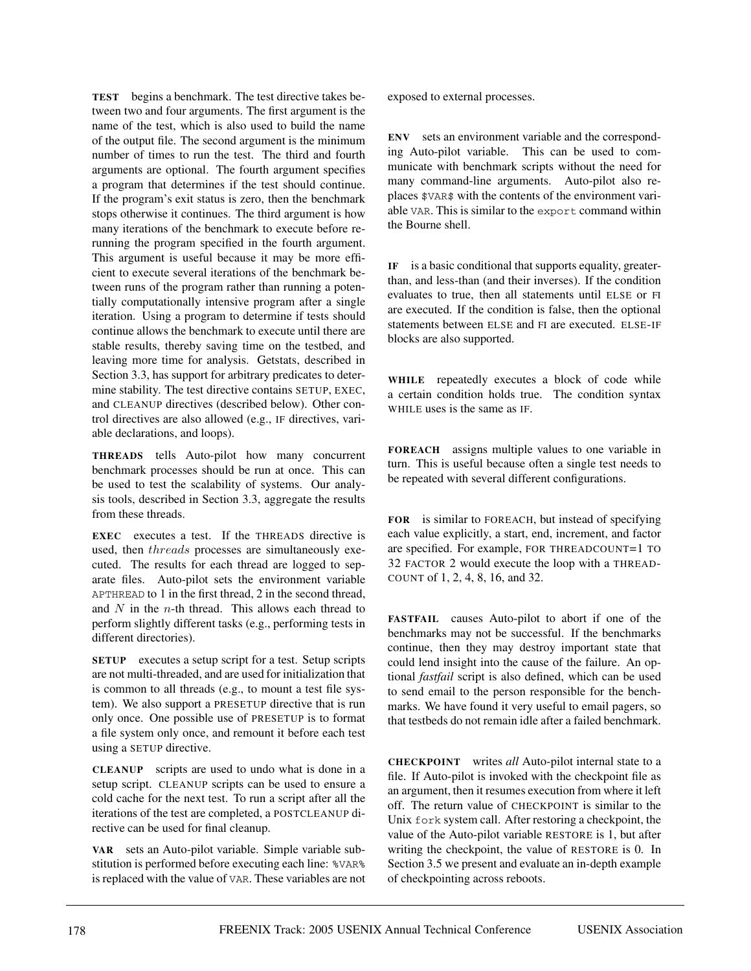**TEST** begins a benchmark. The test directive takes between two and four arguments. The first argument is the name of the test, which is also used to build the name of the output file. The second argument is the minimum number of times to run the test. The third and fourth arguments are optional. The fourth argument specifies a program that determines if the test should continue. If the program's exit status is zero, then the benchmark stops otherwise it continues. The third argument is how many iterations of the benchmark to execute before rerunning the program specified in the fourth argument. This argument is useful because it may be more efficient to execute several iterations of the benchmark between runs of the program rather than running a potentially computationally intensive program after a single iteration. Using a program to determine if tests should continue allows the benchmark to execute until there are stable results, thereby saving time on the testbed, and leaving more time for analysis. Getstats, described in Section 3.3, has support for arbitrary predicates to determine stability. The test directive contains SETUP, EXEC, and CLEANUP directives (described below). Other control directives are also allowed (e.g., IF directives, variable declarations, and loops).

**THREADS** tells Auto-pilot how many concurrent benchmark processes should be run at once. This can be used to test the scalability of systems. Our analysis tools, described in Section 3.3, aggregate the results from these threads.

**EXEC** executes a test. If the THREADS directive is used, then threads processes are simultaneously executed. The results for each thread are logged to separate files. Auto-pilot sets the environment variable APTHREAD to 1 in the first thread, 2 in the second thread, and  $N$  in the *n*-th thread. This allows each thread to perform slightly different tasks (e.g., performing tests in different directories).

**SETUP** executes a setup script for a test. Setup scripts are not multi-threaded, and are used for initialization that is common to all threads (e.g., to mount a test file system). We also support a PRESETUP directive that is run only once. One possible use of PRESETUP is to format a file system only once, and remount it before each test using a SETUP directive.

**CLEANUP** scripts are used to undo what is done in a setup script. CLEANUP scripts can be used to ensure a cold cache for the next test. To run a script after all the iterations of the test are completed, a POSTCLEANUP directive can be used for final cleanup.

**VAR** sets an Auto-pilot variable. Simple variable substitution is performed before executing each line: %VAR% is replaced with the value of VAR. These variables are not exposed to external processes.

**ENV** sets an environment variable and the corresponding Auto-pilot variable. This can be used to communicate with benchmark scripts without the need for many command-line arguments. Auto-pilot also replaces \$VAR\$ with the contents of the environment variable VAR. This is similar to the export command within the Bourne shell.

**IF** is a basic conditional that supports equality, greaterthan, and less-than (and their inverses). If the condition evaluates to true, then all statements until ELSE or FI are executed. If the condition is false, then the optional statements between ELSE and FI are executed. ELSE-IF blocks are also supported.

**WHILE** repeatedly executes a block of code while a certain condition holds true. The condition syntax WHILE uses is the same as IF.

**FOREACH** assigns multiple values to one variable in turn. This is useful because often a single test needs to be repeated with several different configurations.

**FOR** is similar to FOREACH, but instead of specifying each value explicitly, a start, end, increment, and factor are specified. For example, FOR THREADCOUNT=1 TO 32 FACTOR 2 would execute the loop with a THREAD-COUNT of 1, 2, 4, 8, 16, and 32.

**FASTFAIL** causes Auto-pilot to abort if one of the benchmarks may not be successful. If the benchmarks continue, then they may destroy important state that could lend insight into the cause of the failure. An optional *fastfail* script is also defined, which can be used to send email to the person responsible for the benchmarks. We have found it very useful to email pagers, so that testbeds do not remain idle after a failed benchmark.

**CHECKPOINT** writes *all* Auto-pilot internal state to a file. If Auto-pilot is invoked with the checkpoint file as an argument, then it resumes execution from where it left off. The return value of CHECKPOINT is similar to the Unix fork system call. After restoring a checkpoint, the value of the Auto-pilot variable RESTORE is 1, but after writing the checkpoint, the value of RESTORE is 0. In Section 3.5 we present and evaluate an in-depth example of checkpointing across reboots.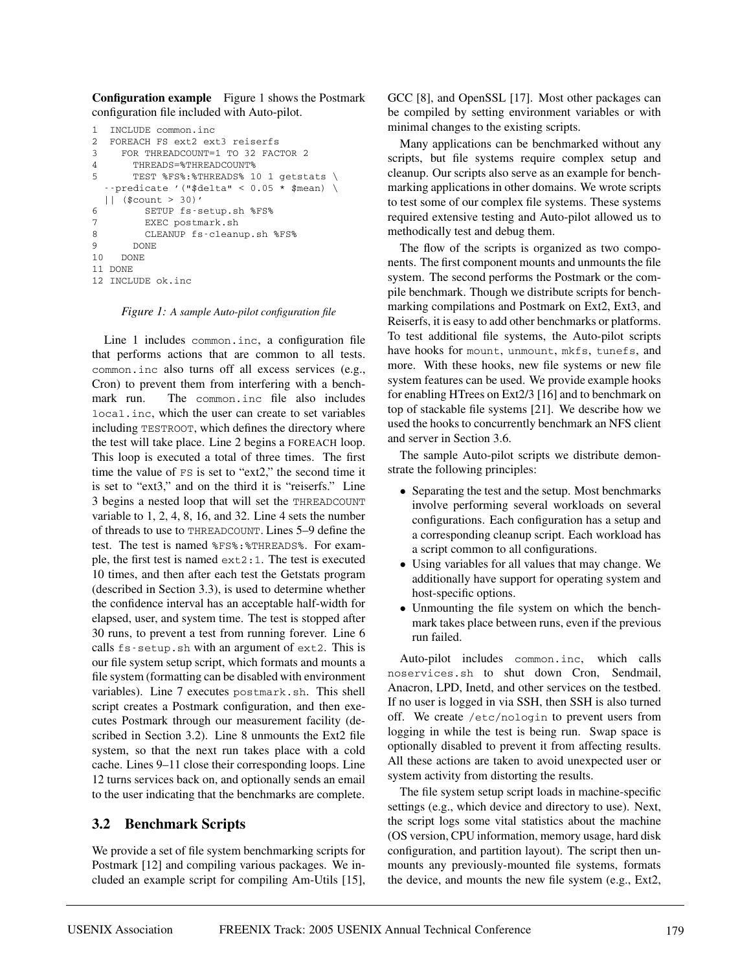**Configuration example** Figure 1 shows the Postmark configuration file included with Auto-pilot.

```
1 INCLUDE common.inc
2 FOREACH FS ext2 ext3 reiserfs
3 FOR THREADCOUNT=1 TO 32 FACTOR 2
4 THREADS=%THREADCOUNT%
5 TEST %FS%:%THREADS% 10 1 getstats \
  --predicate '("$delta" < 0.05 * $mean) \
  || ($count > 30)'
6 SETUP fs-setup.sh %FS%
7 EXEC postmark.sh
8 CLEANUP fs-cleanup.sh %FS%
9 DONE
10 DONE
11 DONE
12 INCLUDE ok.inc
```
*Figure 1: A sample Auto-pilot configuration file*

Line 1 includes common.inc, a configuration file that performs actions that are common to all tests. common.inc also turns off all excess services (e.g., Cron) to prevent them from interfering with a benchmark run. The common.inc file also includes local.inc, which the user can create to set variables including TESTROOT, which defines the directory where the test will take place. Line 2 begins a FOREACH loop. This loop is executed a total of three times. The first time the value of FS is set to "ext2," the second time it is set to "ext3," and on the third it is "reiserfs." Line 3 begins a nested loop that will set the THREADCOUNT variable to 1, 2, 4, 8, 16, and 32. Line 4 sets the number of threads to use to THREADCOUNT. Lines 5–9 define the test. The test is named %FS%:%THREADS%. For example, the first test is named ext2:1. The test is executed 10 times, and then after each test the Getstats program (described in Section 3.3), is used to determine whether the confidence interval has an acceptable half-width for elapsed, user, and system time. The test is stopped after 30 runs, to prevent a test from running forever. Line 6 calls fs-setup.sh with an argument of ext2. This is our file system setup script, which formats and mounts a file system (formatting can be disabled with environment variables). Line 7 executes postmark.sh. This shell script creates a Postmark configuration, and then executes Postmark through our measurement facility (described in Section 3.2). Line 8 unmounts the Ext2 file system, so that the next run takes place with a cold cache. Lines 9–11 close their corresponding loops. Line 12 turns services back on, and optionally sends an email to the user indicating that the benchmarks are complete.

#### **3.2 Benchmark Scripts**

We provide a set of file system benchmarking scripts for Postmark [12] and compiling various packages. We included an example script for compiling Am-Utils [15],

GCC [8], and OpenSSL [17]. Most other packages can be compiled by setting environment variables or with minimal changes to the existing scripts.

Many applications can be benchmarked without any scripts, but file systems require complex setup and cleanup. Our scripts also serve as an example for benchmarking applications in other domains. We wrote scripts to test some of our complex file systems. These systems required extensive testing and Auto-pilot allowed us to methodically test and debug them.

The flow of the scripts is organized as two components. The first component mounts and unmounts the file system. The second performs the Postmark or the compile benchmark. Though we distribute scripts for benchmarking compilations and Postmark on Ext2, Ext3, and Reiserfs, it is easy to add other benchmarks or platforms. To test additional file systems, the Auto-pilot scripts have hooks for mount, unmount, mkfs, tunefs, and more. With these hooks, new file systems or new file system features can be used. We provide example hooks for enabling HTrees on Ext2/3 [16] and to benchmark on top of stackable file systems [21]. We describe how we used the hooks to concurrently benchmark an NFS client and server in Section 3.6.

The sample Auto-pilot scripts we distribute demonstrate the following principles:

- Separating the test and the setup. Most benchmarks involve performing several workloads on several configurations. Each configuration has a setup and a corresponding cleanup script. Each workload has a script common to all configurations.
- Using variables for all values that may change. We additionally have support for operating system and host-specific options.
- Unmounting the file system on which the benchmark takes place between runs, even if the previous run failed.

Auto-pilot includes common.inc, which calls noservices.sh to shut down Cron, Sendmail, Anacron, LPD, Inetd, and other services on the testbed. If no user is logged in via SSH, then SSH is also turned off. We create /etc/nologin to prevent users from logging in while the test is being run. Swap space is optionally disabled to prevent it from affecting results. All these actions are taken to avoid unexpected user or system activity from distorting the results.

The file system setup script loads in machine-specific settings (e.g., which device and directory to use). Next, the script logs some vital statistics about the machine (OS version, CPU information, memory usage, hard disk configuration, and partition layout). The script then unmounts any previously-mounted file systems, formats the device, and mounts the new file system (e.g., Ext2,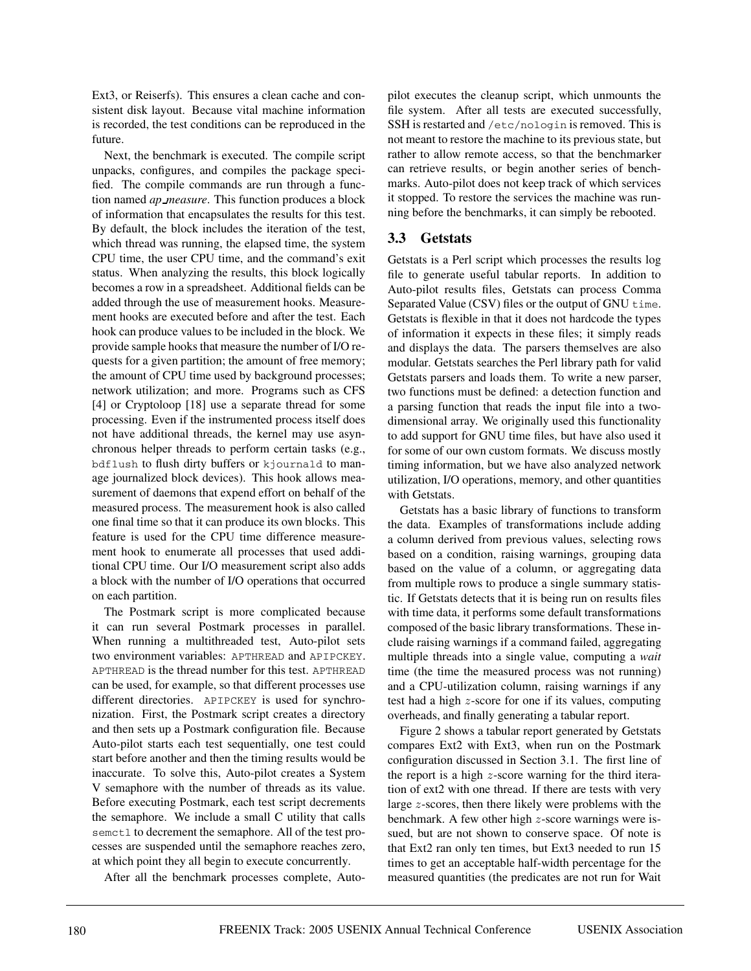Ext3, or Reiserfs). This ensures a clean cache and consistent disk layout. Because vital machine information is recorded, the test conditions can be reproduced in the future.

Next, the benchmark is executed. The compile script unpacks, configures, and compiles the package specified. The compile commands are run through a function named *ap measure*. This function produces a block of information that encapsulates the results for this test. By default, the block includes the iteration of the test, which thread was running, the elapsed time, the system CPU time, the user CPU time, and the command's exit status. When analyzing the results, this block logically becomes a row in a spreadsheet. Additional fields can be added through the use of measurement hooks. Measurement hooks are executed before and after the test. Each hook can produce values to be included in the block. We provide sample hooks that measure the number of I/O requests for a given partition; the amount of free memory; the amount of CPU time used by background processes; network utilization; and more. Programs such as CFS [4] or Cryptoloop [18] use a separate thread for some processing. Even if the instrumented process itself does not have additional threads, the kernel may use asynchronous helper threads to perform certain tasks (e.g., bdflush to flush dirty buffers or kjournald to manage journalized block devices). This hook allows measurement of daemons that expend effort on behalf of the measured process. The measurement hook is also called one final time so that it can produce its own blocks. This feature is used for the CPU time difference measurement hook to enumerate all processes that used additional CPU time. Our I/O measurement script also adds a block with the number of I/O operations that occurred on each partition.

The Postmark script is more complicated because it can run several Postmark processes in parallel. When running a multithreaded test, Auto-pilot sets two environment variables: APTHREAD and APIPCKEY. APTHREAD is the thread number for this test. APTHREAD can be used, for example, so that different processes use different directories. APIPCKEY is used for synchronization. First, the Postmark script creates a directory and then sets up a Postmark configuration file. Because Auto-pilot starts each test sequentially, one test could start before another and then the timing results would be inaccurate. To solve this, Auto-pilot creates a System V semaphore with the number of threads as its value. Before executing Postmark, each test script decrements the semaphore. We include a small C utility that calls semct1 to decrement the semaphore. All of the test processes are suspended until the semaphore reaches zero, at which point they all begin to execute concurrently.

After all the benchmark processes complete, Auto-

pilot executes the cleanup script, which unmounts the file system. After all tests are executed successfully, SSH is restarted and /etc/nologin is removed. This is not meant to restore the machine to its previous state, but rather to allow remote access, so that the benchmarker can retrieve results, or begin another series of benchmarks. Auto-pilot does not keep track of which services it stopped. To restore the services the machine was running before the benchmarks, it can simply be rebooted.

#### **3.3 Getstats**

Getstats is a Perl script which processes the results log file to generate useful tabular reports. In addition to Auto-pilot results files, Getstats can process Comma Separated Value (CSV) files or the output of GNU time. Getstats is flexible in that it does not hardcode the types of information it expects in these files; it simply reads and displays the data. The parsers themselves are also modular. Getstats searches the Perl library path for valid Getstats parsers and loads them. To write a new parser, two functions must be defined: a detection function and a parsing function that reads the input file into a twodimensional array. We originally used this functionality to add support for GNU time files, but have also used it for some of our own custom formats. We discuss mostly timing information, but we have also analyzed network utilization, I/O operations, memory, and other quantities with Getstats.

Getstats has a basic library of functions to transform the data. Examples of transformations include adding a column derived from previous values, selecting rows based on a condition, raising warnings, grouping data based on the value of a column, or aggregating data from multiple rows to produce a single summary statistic. If Getstats detects that it is being run on results files with time data, it performs some default transformations composed of the basic library transformations. These include raising warnings if a command failed, aggregating multiple threads into a single value, computing a *wait* time (the time the measured process was not running) and a CPU-utilization column, raising warnings if any test had a high z-score for one if its values, computing overheads, and finally generating a tabular report.

Figure 2 shows a tabular report generated by Getstats compares Ext2 with Ext3, when run on the Postmark configuration discussed in Section 3.1. The first line of the report is a high  $z$ -score warning for the third iteration of ext2 with one thread. If there are tests with very large z-scores, then there likely were problems with the benchmark. A few other high z-score warnings were issued, but are not shown to conserve space. Of note is that Ext2 ran only ten times, but Ext3 needed to run 15 times to get an acceptable half-width percentage for the measured quantities (the predicates are not run for Wait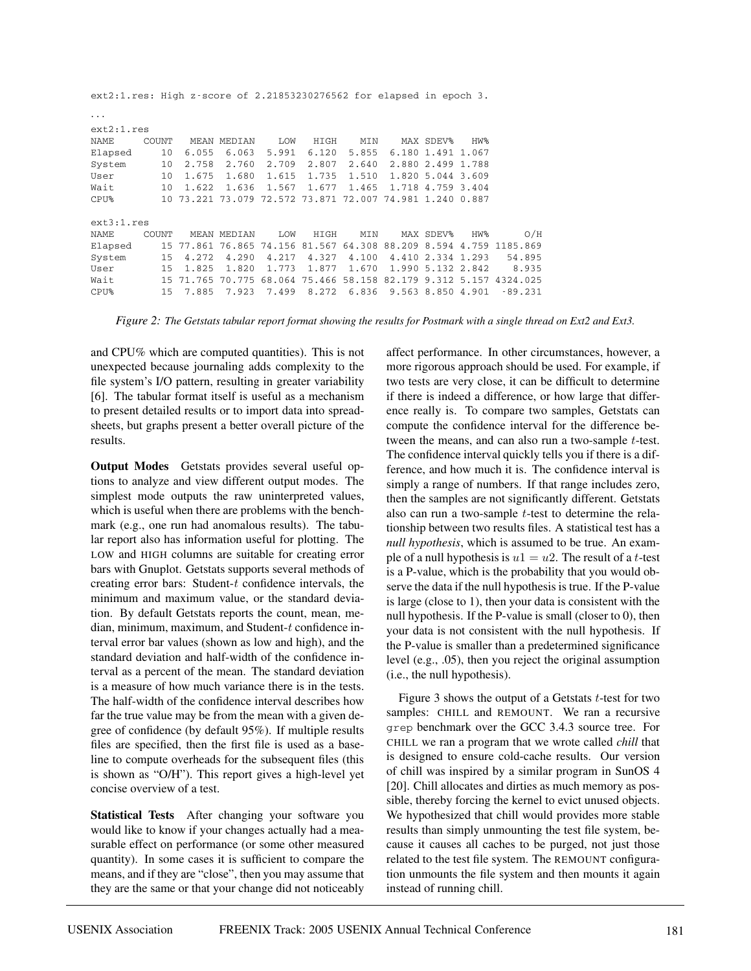| $ext{2:1.res}$ : High z-score of 2.21853230276562 for elapsed in epoch 3. |                 |           |                                                          |       |                      |       |                   |                 |                                                                   |
|---------------------------------------------------------------------------|-----------------|-----------|----------------------------------------------------------|-------|----------------------|-------|-------------------|-----------------|-------------------------------------------------------------------|
| $\cdots$                                                                  |                 |           |                                                          |       |                      |       |                   |                 |                                                                   |
| ext2:1.res                                                                |                 |           |                                                          |       |                      |       |                   |                 |                                                                   |
| NAME                                                                      | COUNT           |           | MEAN MEDIAN                                              | LOW   | HIGH                 | MIN   | MAX SDEV%         | HW <sub>8</sub> |                                                                   |
| Elapsed                                                                   | 10              | 6.055     | 6.063                                                    | 5.991 | 6.120                | 5.855 | 6.180 1.491 1.067 |                 |                                                                   |
| System                                                                    | 10              | 2.758     | 2.760                                                    | 2.709 | 2.807                | 2.640 | 2.880 2.499 1.788 |                 |                                                                   |
| User                                                                      | 10              | 1.675     | 1.680                                                    | 1.615 | 1.735                | 1.510 | 1.820 5.044 3.609 |                 |                                                                   |
| Wait                                                                      | 10 <sup>°</sup> | 1.622     | 1.636                                                    | 1.567 | 1.677                | 1.465 | 1.718 4.759 3.404 |                 |                                                                   |
| $CPU$ %                                                                   |                 |           | 10 73.221 73.079 72.572 73.871 72.007 74.981 1.240 0.887 |       |                      |       |                   |                 |                                                                   |
| ext3:1.res                                                                |                 |           |                                                          |       |                      |       |                   |                 |                                                                   |
| NAME                                                                      | COUNT           |           | MEAN MEDIAN                                              | LOW   | HIGH                 | MIN   | MAX SDEV%         | HW <sub>8</sub> | O/H                                                               |
| Elapsed                                                                   |                 |           |                                                          |       |                      |       |                   |                 | 15 77.861 76.865 74.156 81.567 64.308 88.209 8.594 4.759 1185.869 |
| System                                                                    | 15              | 4.272     | 4.290                                                    | 4.217 | 4.327                | 4.100 | 4.410 2.334 1.293 |                 | 54.895                                                            |
| User                                                                      | 15              | 1.825     | 1.820                                                    | 1.773 | 1.877                | 1.670 | 1.990 5.132 2.842 |                 | 8.935                                                             |
| Wait                                                                      |                 | 15 71.765 | 70.775                                                   |       | 68.064 75.466 58.158 |       |                   |                 | 82.179 9.312 5.157 4324.025                                       |
| CPU <sup>8</sup>                                                          | 15              | 7.885     | 7.923                                                    | 7.499 | 8.272                | 6.836 | 9.563 8.850 4.901 |                 | $-89.231$                                                         |

*Figure 2: The Getstats tabular report format showing the results for Postmark with a single thread on Ext2 and Ext3.*

and CPU% which are computed quantities). This is not unexpected because journaling adds complexity to the file system's I/O pattern, resulting in greater variability [6]. The tabular format itself is useful as a mechanism to present detailed results or to import data into spreadsheets, but graphs present a better overall picture of the results.

**Output Modes** Getstats provides several useful options to analyze and view different output modes. The simplest mode outputs the raw uninterpreted values, which is useful when there are problems with the benchmark (e.g., one run had anomalous results). The tabular report also has information useful for plotting. The LOW and HIGH columns are suitable for creating error bars with Gnuplot. Getstats supports several methods of creating error bars: Student- $t$  confidence intervals, the minimum and maximum value, or the standard deviation. By default Getstats reports the count, mean, median, minimum, maximum, and Student- $t$  confidence interval error bar values (shown as low and high), and the standard deviation and half-width of the confidence interval as a percent of the mean. The standard deviation is a measure of how much variance there is in the tests. The half-width of the confidence interval describes how far the true value may be from the mean with a given degree of confidence (by default 95%). If multiple results files are specified, then the first file is used as a baseline to compute overheads for the subsequent files (this is shown as "O/H"). This report gives a high-level yet concise overview of a test.

**Statistical Tests** After changing your software you would like to know if your changes actually had a measurable effect on performance (or some other measured quantity). In some cases it is sufficient to compare the means, and if they are "close", then you may assume that they are the same or that your change did not noticeably affect performance. In other circumstances, however, a more rigorous approach should be used. For example, if two tests are very close, it can be difficult to determine if there is indeed a difference, or how large that difference really is. To compare two samples, Getstats can compute the confidence interval for the difference between the means, and can also run a two-sample  $t$ -test. The confidence interval quickly tells you if there is a difference, and how much it is. The confidence interval is simply a range of numbers. If that range includes zero, then the samples are not significantly different. Getstats also can run a two-sample  $t$ -test to determine the relationship between two results files. A statistical test has a *null hypothesis*, which is assumed to be true. An example of a null hypothesis is  $u1 = u2$ . The result of a t-test is a P-value, which is the probability that you would observe the data if the null hypothesis is true. If the P-value is large (close to 1), then your data is consistent with the null hypothesis. If the P-value is small (closer to 0), then your data is not consistent with the null hypothesis. If the P-value is smaller than a predetermined significance level (e.g., .05), then you reject the original assumption (i.e., the null hypothesis).

Figure 3 shows the output of a Getstats  $t$ -test for two samples: CHILL and REMOUNT. We ran a recursive grep benchmark over the GCC 3.4.3 source tree. For CHILL we ran a program that we wrote called *chill* that is designed to ensure cold-cache results. Our version of chill was inspired by a similar program in SunOS 4 [20]. Chill allocates and dirties as much memory as possible, thereby forcing the kernel to evict unused objects. We hypothesized that chill would provides more stable results than simply unmounting the test file system, because it causes all caches to be purged, not just those related to the test file system. The REMOUNT configuration unmounts the file system and then mounts it again instead of running chill.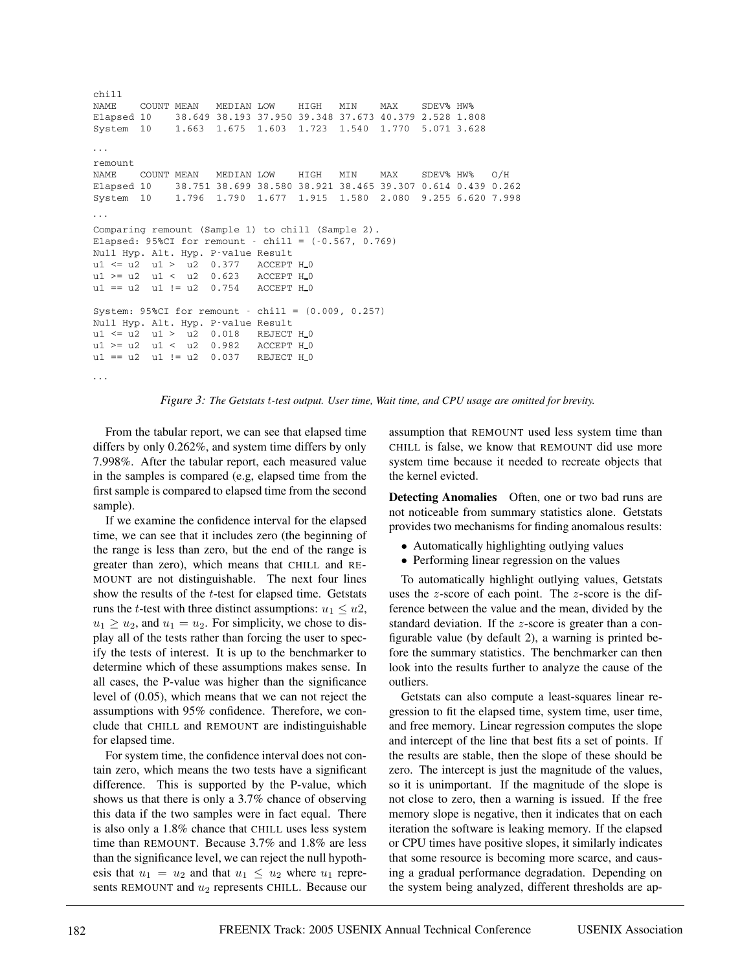```
chill
NAME COUNT MEAN MEDIAN LOW HIGH MIN MAX SDEV% HW%
Elapsed 10 38.649 38.193 37.950 39.348 37.673 40.379 2.528 1.808
System 10 1.663 1.675 1.603 1.723 1.540 1.770 5.071 3.628
...
remount
NAME COUNT MEAN MEDIAN LOW HIGH MIN MAX SDEV% HW% O/H
Elapsed 10 38.751 38.699 38.580 38.921 38.465 39.307 0.614 0.439 0.262
System 10 1.796 1.790 1.677 1.915 1.580 2.080 9.255 6.620 7.998
...
Comparing remount (Sample 1) to chill (Sample 2).
Elapsed: 95%CI for remount - chill = (-0.567, 0.769)
Null Hyp. Alt. Hyp. P-value Result
u1 <= u2 u1 > u2 0.377 ACCEPT H_0
u1 >= u2 u1 < u2 0.623 ACCEPT H_0
u1 == u2 u1 != u2 0.754 ACCEPT H<sub>0</sub>
System: 95%CI for remount - chill = (0.009, 0.257)
Null Hyp. Alt. Hyp. P-value Result
u1 \leq u2 \quad u1 > u2 \quad 0.018 REJECT H<sub>-0</sub>
u1 >= u2 u1 < u2 0.982 ACCEPT H_0
u1 == u2 u1 != u2 0.037 REJECT H<sub>0</sub>
...
```


From the tabular report, we can see that elapsed time differs by only 0.262%, and system time differs by only 7.998%. After the tabular report, each measured value in the samples is compared (e.g, elapsed time from the first sample is compared to elapsed time from the second sample).

If we examine the confidence interval for the elapsed time, we can see that it includes zero (the beginning of the range is less than zero, but the end of the range is greater than zero), which means that CHILL and RE-MOUNT are not distinguishable. The next four lines show the results of the t-test for elapsed time. Getstats runs the t-test with three distinct assumptions:  $u_1 \leq u_2$ ,  $u_1 \geq u_2$ , and  $u_1 = u_2$ . For simplicity, we chose to display all of the tests rather than forcing the user to specify the tests of interest. It is up to the benchmarker to determine which of these assumptions makes sense. In all cases, the P-value was higher than the significance level of (0.05), which means that we can not reject the assumptions with 95% confidence. Therefore, we conclude that CHILL and REMOUNT are indistinguishable for elapsed time.

For system time, the confidence interval does not contain zero, which means the two tests have a significant difference. This is supported by the P-value, which shows us that there is only a 3.7% chance of observing this data if the two samples were in fact equal. There is also only a 1.8% chance that CHILL uses less system time than REMOUNT. Because 3.7% and 1.8% are less than the significance level, we can reject the null hypothesis that  $u_1 = u_2$  and that  $u_1 \leq u_2$  where  $u_1$  represents REMOUNT and  $u_2$  represents CHILL. Because our

assumption that REMOUNT used less system time than CHILL is false, we know that REMOUNT did use more system time because it needed to recreate objects that the kernel evicted.

**Detecting Anomalies** Often, one or two bad runs are not noticeable from summary statistics alone. Getstats provides two mechanisms for finding anomalous results:

- Automatically highlighting outlying values
- Performing linear regression on the values

To automatically highlight outlying values, Getstats uses the z-score of each point. The z-score is the difference between the value and the mean, divided by the standard deviation. If the z-score is greater than a configurable value (by default 2), a warning is printed before the summary statistics. The benchmarker can then look into the results further to analyze the cause of the outliers.

Getstats can also compute a least-squares linear regression to fit the elapsed time, system time, user time, and free memory. Linear regression computes the slope and intercept of the line that best fits a set of points. If the results are stable, then the slope of these should be zero. The intercept is just the magnitude of the values, so it is unimportant. If the magnitude of the slope is not close to zero, then a warning is issued. If the free memory slope is negative, then it indicates that on each iteration the software is leaking memory. If the elapsed or CPU times have positive slopes, it similarly indicates that some resource is becoming more scarce, and causing a gradual performance degradation. Depending on the system being analyzed, different thresholds are ap-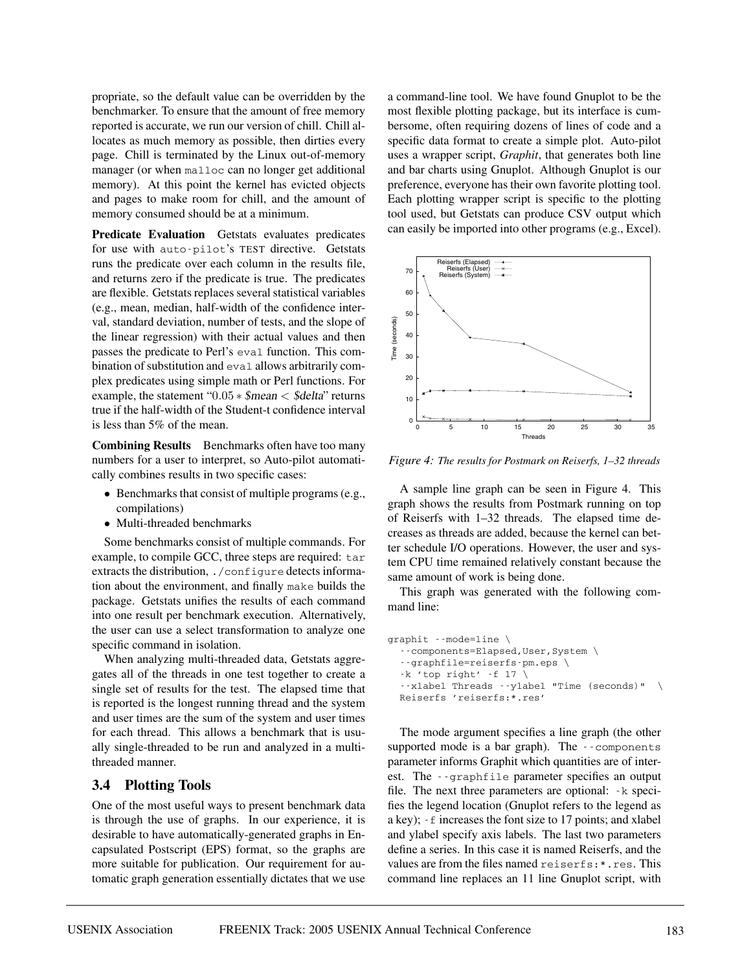propriate, so the default value can be overridden by the benchmarker. To ensure that the amount of free memory reported is accurate, we run our version of chill. Chill allocates as much memory as possible, then dirties every page. Chill is terminated by the Linux out-of-memory manager (or when malloc can no longer get additional memory). At this point the kernel has evicted objects and pages to make room for chill, and the amount of memory consumed should be at a minimum.

**Predicate Evaluation** Getstats evaluates predicates for use with auto-pilot's TEST directive. Getstats runs the predicate over each column in the results file, and returns zero if the predicate is true. The predicates are flexible. Getstats replaces several statistical variables (e.g., mean, median, half-width of the confidence interval, standard deviation, number of tests, and the slope of the linear regression) with their actual values and then passes the predicate to Perl's eval function. This combination of substitution and eval allows arbitrarily complex predicates using simple math or Perl functions. For example, the statement "0.05  $*$  \$mean  $<$  \$delta" returns true if the half-width of the Student-t confidence interval is less than 5% of the mean.

**Combining Results** Benchmarks often have too many numbers for a user to interpret, so Auto-pilot automatically combines results in two specific cases:

- Benchmarks that consist of multiple programs (e.g., compilations)
- Multi-threaded benchmarks

Some benchmarks consist of multiple commands. For example, to compile GCC, three steps are required: tar extracts the distribution, . / configure detects information about the environment, and finally make builds the package. Getstats unifies the results of each command into one result per benchmark execution. Alternatively, the user can use a select transformation to analyze one specific command in isolation.

When analyzing multi-threaded data, Getstats aggregates all of the threads in one test together to create a single set of results for the test. The elapsed time that is reported is the longest running thread and the system and user times are the sum of the system and user times for each thread. This allows a benchmark that is usually single-threaded to be run and analyzed in a multithreaded manner.

#### **3.4 Plotting Tools**

One of the most useful ways to present benchmark data is through the use of graphs. In our experience, it is desirable to have automatically-generated graphs in Encapsulated Postscript (EPS) format, so the graphs are more suitable for publication. Our requirement for automatic graph generation essentially dictates that we use a command-line tool. We have found Gnuplot to be the most flexible plotting package, but its interface is cumbersome, often requiring dozens of lines of code and a specific data format to create a simple plot. Auto-pilot uses a wrapper script, *Graphit*, that generates both line and bar charts using Gnuplot. Although Gnuplot is our preference, everyone has their own favorite plotting tool. Each plotting wrapper script is specific to the plotting tool used, but Getstats can produce CSV output which can easily be imported into other programs (e.g., Excel).



*Figure 4: The results for Postmark on Reiserfs, 1–32 threads*

A sample line graph can be seen in Figure 4. This graph shows the results from Postmark running on top of Reiserfs with 1–32 threads. The elapsed time decreases as threads are added, because the kernel can better schedule I/O operations. However, the user and system CPU time remained relatively constant because the same amount of work is being done.

This graph was generated with the following command line:

| qraphit --mode=line \                      |  |  |  |  |  |  |  |  |  |
|--------------------------------------------|--|--|--|--|--|--|--|--|--|
| --components=Elapsed, User, System \       |  |  |  |  |  |  |  |  |  |
| $\cdot$ -graphfile=reiserfs-pm.eps \       |  |  |  |  |  |  |  |  |  |
| $-k$ 'top right' $-f$ 17 \                 |  |  |  |  |  |  |  |  |  |
| --xlabel Threads --ylabel "Time (seconds)" |  |  |  |  |  |  |  |  |  |
| Reiserfs 'reiserfs:*.res'                  |  |  |  |  |  |  |  |  |  |

The mode argument specifies a line graph (the other supported mode is a bar graph). The --components parameter informs Graphit which quantities are of interest. The --graphfile parameter specifies an output file. The next three parameters are optional: -k specifies the legend location (Gnuplot refers to the legend as a key); -f increases the font size to 17 points; and xlabel and ylabel specify axis labels. The last two parameters define a series. In this case it is named Reiserfs, and the values are from the files named reiserfs:\*.res. This command line replaces an 11 line Gnuplot script, with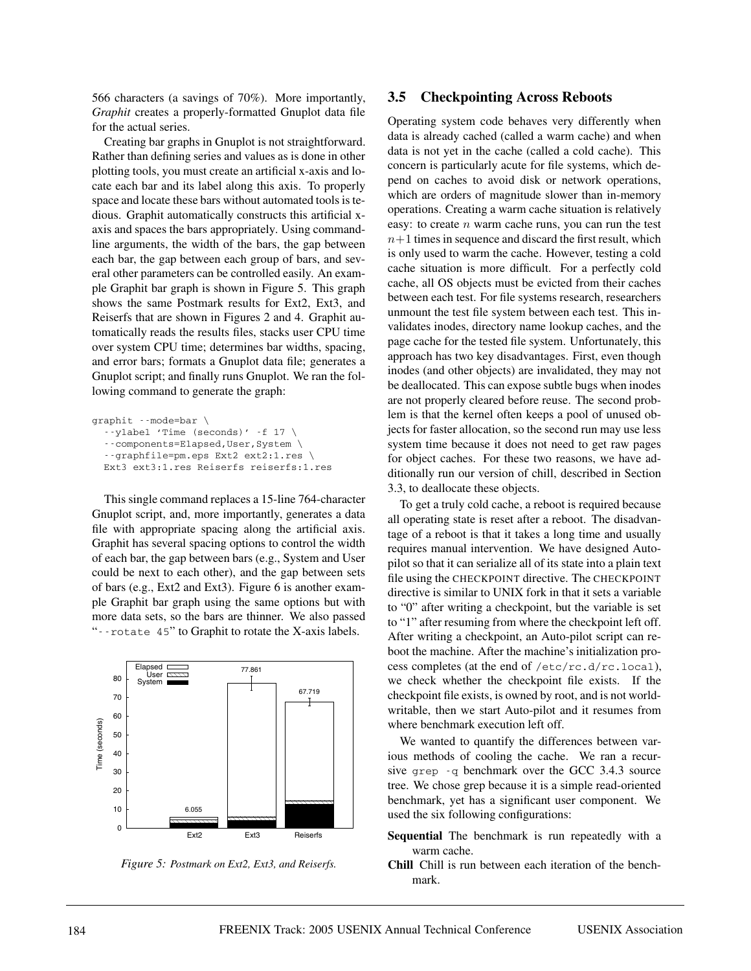566 characters (a savings of 70%). More importantly, *Graphit* creates a properly-formatted Gnuplot data file for the actual series.

Creating bar graphs in Gnuplot is not straightforward. Rather than defining series and values as is done in other plotting tools, you must create an artificial x-axis and locate each bar and its label along this axis. To properly space and locate these bars without automated tools is tedious. Graphit automatically constructs this artificial xaxis and spaces the bars appropriately. Using commandline arguments, the width of the bars, the gap between each bar, the gap between each group of bars, and several other parameters can be controlled easily. An example Graphit bar graph is shown in Figure 5. This graph shows the same Postmark results for Ext2, Ext3, and Reiserfs that are shown in Figures 2 and 4. Graphit automatically reads the results files, stacks user CPU time over system CPU time; determines bar widths, spacing, and error bars; formats a Gnuplot data file; generates a Gnuplot script; and finally runs Gnuplot. We ran the following command to generate the graph:

```
graphit --mode=bar \
  --ylabel 'Time (seconds)' -f 17 \
  --components=Elapsed,User,System \
  --graphfile=pm.eps Ext2 ext2:1.res \
  Ext3 ext3:1.res Reiserfs reiserfs:1.res
```
This single command replaces a 15-line 764-character Gnuplot script, and, more importantly, generates a data file with appropriate spacing along the artificial axis. Graphit has several spacing options to control the width of each bar, the gap between bars (e.g., System and User could be next to each other), and the gap between sets of bars (e.g., Ext2 and Ext3). Figure 6 is another example Graphit bar graph using the same options but with more data sets, so the bars are thinner. We also passed "--rotate 45" to Graphit to rotate the X-axis labels.



*Figure 5: Postmark on Ext2, Ext3, and Reiserfs.*

#### **3.5 Checkpointing Across Reboots**

Operating system code behaves very differently when data is already cached (called a warm cache) and when data is not yet in the cache (called a cold cache). This concern is particularly acute for file systems, which depend on caches to avoid disk or network operations, which are orders of magnitude slower than in-memory operations. Creating a warm cache situation is relatively easy: to create  $n$  warm cache runs, you can run the test  $n+1$  times in sequence and discard the first result, which is only used to warm the cache. However, testing a cold cache situation is more difficult. For a perfectly cold cache, all OS objects must be evicted from their caches between each test. For file systems research, researchers unmount the test file system between each test. This invalidates inodes, directory name lookup caches, and the page cache for the tested file system. Unfortunately, this approach has two key disadvantages. First, even though inodes (and other objects) are invalidated, they may not be deallocated. This can expose subtle bugs when inodes are not properly cleared before reuse. The second problem is that the kernel often keeps a pool of unused objects for faster allocation, so the second run may use less system time because it does not need to get raw pages for object caches. For these two reasons, we have additionally run our version of chill, described in Section 3.3, to deallocate these objects.

To get a truly cold cache, a reboot is required because all operating state is reset after a reboot. The disadvantage of a reboot is that it takes a long time and usually requires manual intervention. We have designed Autopilot so that it can serialize all of its state into a plain text file using the CHECKPOINT directive. The CHECKPOINT directive is similar to UNIX fork in that it sets a variable to "0" after writing a checkpoint, but the variable is set to "1" after resuming from where the checkpoint left off. After writing a checkpoint, an Auto-pilot script can reboot the machine. After the machine's initialization process completes (at the end of /etc/rc.d/rc.local), we check whether the checkpoint file exists. If the checkpoint file exists, is owned by root, and is not worldwritable, then we start Auto-pilot and it resumes from where benchmark execution left off.

We wanted to quantify the differences between various methods of cooling the cache. We ran a recursive grep -q benchmark over the GCC 3.4.3 source tree. We chose grep because it is a simple read-oriented benchmark, yet has a significant user component. We used the six following configurations:

- **Sequential** The benchmark is run repeatedly with a warm cache.
- **Chill** Chill is run between each iteration of the benchmark.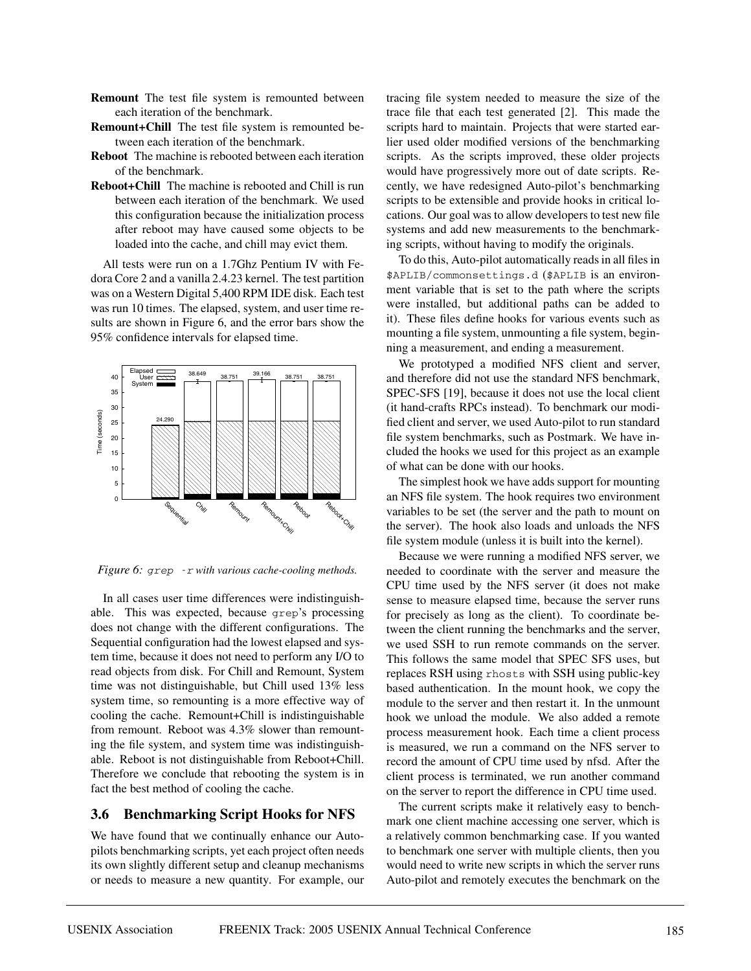- **Remount** The test file system is remounted between each iteration of the benchmark.
- **Remount+Chill** The test file system is remounted between each iteration of the benchmark.
- **Reboot** The machine is rebooted between each iteration of the benchmark.
- **Reboot+Chill** The machine is rebooted and Chill is run between each iteration of the benchmark. We used this configuration because the initialization process after reboot may have caused some objects to be loaded into the cache, and chill may evict them.

All tests were run on a 1.7Ghz Pentium IV with Fedora Core 2 and a vanilla 2.4.23 kernel. The test partition was on a Western Digital 5,400 RPM IDE disk. Each test was run 10 times. The elapsed, system, and user time results are shown in Figure 6, and the error bars show the 95% confidence intervals for elapsed time.



*Figure 6:* grep -r *with various cache-cooling methods.*

In all cases user time differences were indistinguishable. This was expected, because grep's processing does not change with the different configurations. The Sequential configuration had the lowest elapsed and system time, because it does not need to perform any I/O to read objects from disk. For Chill and Remount, System time was not distinguishable, but Chill used 13% less system time, so remounting is a more effective way of cooling the cache. Remount+Chill is indistinguishable from remount. Reboot was 4.3% slower than remounting the file system, and system time was indistinguishable. Reboot is not distinguishable from Reboot+Chill. Therefore we conclude that rebooting the system is in fact the best method of cooling the cache.

### **3.6 Benchmarking Script Hooks for NFS**

We have found that we continually enhance our Autopilots benchmarking scripts, yet each project often needs its own slightly different setup and cleanup mechanisms or needs to measure a new quantity. For example, our tracing file system needed to measure the size of the trace file that each test generated [2]. This made the scripts hard to maintain. Projects that were started earlier used older modified versions of the benchmarking scripts. As the scripts improved, these older projects would have progressively more out of date scripts. Recently, we have redesigned Auto-pilot's benchmarking scripts to be extensible and provide hooks in critical locations. Our goal was to allow developers to test new file systems and add new measurements to the benchmarking scripts, without having to modify the originals.

To do this, Auto-pilot automatically reads in all files in \$APLIB/commonsettings.d (\$APLIB is an environment variable that is set to the path where the scripts were installed, but additional paths can be added to it). These files define hooks for various events such as mounting a file system, unmounting a file system, beginning a measurement, and ending a measurement.

We prototyped a modified NFS client and server, and therefore did not use the standard NFS benchmark, SPEC-SFS [19], because it does not use the local client (it hand-crafts RPCs instead). To benchmark our modified client and server, we used Auto-pilot to run standard file system benchmarks, such as Postmark. We have included the hooks we used for this project as an example of what can be done with our hooks.

The simplest hook we have adds support for mounting an NFS file system. The hook requires two environment variables to be set (the server and the path to mount on the server). The hook also loads and unloads the NFS file system module (unless it is built into the kernel).

Because we were running a modified NFS server, we needed to coordinate with the server and measure the CPU time used by the NFS server (it does not make sense to measure elapsed time, because the server runs for precisely as long as the client). To coordinate between the client running the benchmarks and the server, we used SSH to run remote commands on the server. This follows the same model that SPEC SFS uses, but replaces RSH using rhosts with SSH using public-key based authentication. In the mount hook, we copy the module to the server and then restart it. In the unmount hook we unload the module. We also added a remote process measurement hook. Each time a client process is measured, we run a command on the NFS server to record the amount of CPU time used by nfsd. After the client process is terminated, we run another command on the server to report the difference in CPU time used.

The current scripts make it relatively easy to benchmark one client machine accessing one server, which is a relatively common benchmarking case. If you wanted to benchmark one server with multiple clients, then you would need to write new scripts in which the server runs Auto-pilot and remotely executes the benchmark on the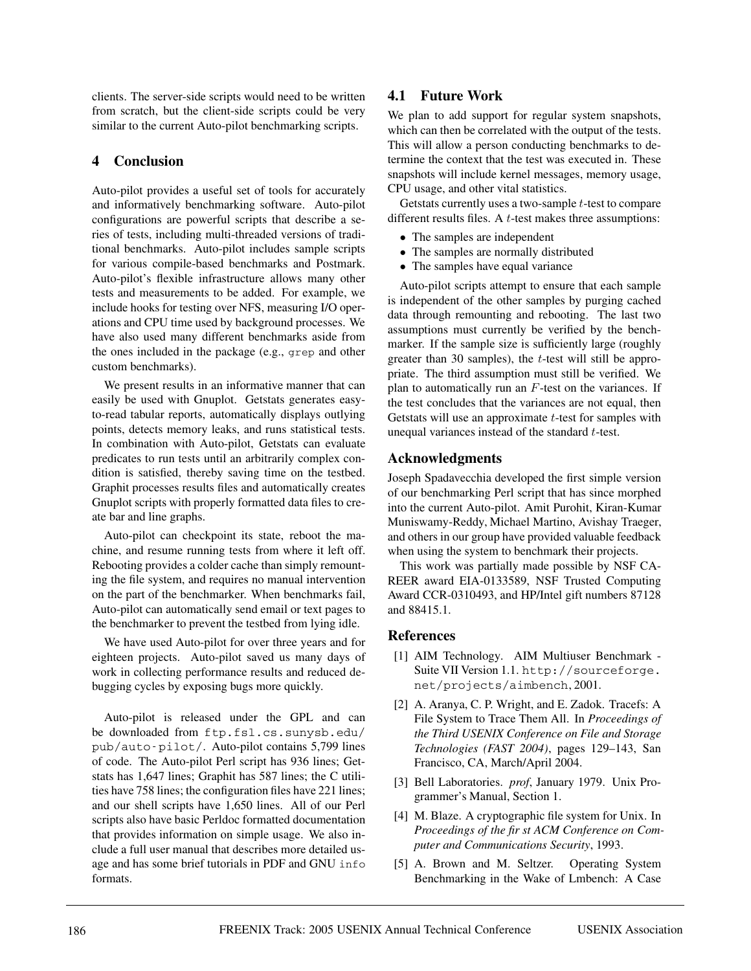clients. The server-side scripts would need to be written from scratch, but the client-side scripts could be very similar to the current Auto-pilot benchmarking scripts.

## **4 Conclusion**

Auto-pilot provides a useful set of tools for accurately and informatively benchmarking software. Auto-pilot configurations are powerful scripts that describe a series of tests, including multi-threaded versions of traditional benchmarks. Auto-pilot includes sample scripts for various compile-based benchmarks and Postmark. Auto-pilot's flexible infrastructure allows many other tests and measurements to be added. For example, we include hooks for testing over NFS, measuring I/O operations and CPU time used by background processes. We have also used many different benchmarks aside from the ones included in the package (e.g., grep and other custom benchmarks).

We present results in an informative manner that can easily be used with Gnuplot. Getstats generates easyto-read tabular reports, automatically displays outlying points, detects memory leaks, and runs statistical tests. In combination with Auto-pilot, Getstats can evaluate predicates to run tests until an arbitrarily complex condition is satisfied, thereby saving time on the testbed. Graphit processes results files and automatically creates Gnuplot scripts with properly formatted data files to create bar and line graphs.

Auto-pilot can checkpoint its state, reboot the machine, and resume running tests from where it left off. Rebooting provides a colder cache than simply remounting the file system, and requires no manual intervention on the part of the benchmarker. When benchmarks fail, Auto-pilot can automatically send email or text pages to the benchmarker to prevent the testbed from lying idle.

We have used Auto-pilot for over three years and for eighteen projects. Auto-pilot saved us many days of work in collecting performance results and reduced debugging cycles by exposing bugs more quickly.

Auto-pilot is released under the GPL and can be downloaded from ftp.fsl.cs.sunysb.edu/ pub/auto-pilot/. Auto-pilot contains 5,799 lines of code. The Auto-pilot Perl script has 936 lines; Getstats has 1,647 lines; Graphit has 587 lines; the C utilities have 758 lines; the configuration files have 221 lines; and our shell scripts have 1,650 lines. All of our Perl scripts also have basic Perldoc formatted documentation that provides information on simple usage. We also include a full user manual that describes more detailed usage and has some brief tutorials in PDF and GNU info formats.

# **4.1 Future Work**

We plan to add support for regular system snapshots, which can then be correlated with the output of the tests. This will allow a person conducting benchmarks to determine the context that the test was executed in. These snapshots will include kernel messages, memory usage, CPU usage, and other vital statistics.

Getstats currently uses a two-sample t-test to compare different results files. A t-test makes three assumptions:

- The samples are independent
- The samples are normally distributed
- The samples have equal variance

Auto-pilot scripts attempt to ensure that each sample is independent of the other samples by purging cached data through remounting and rebooting. The last two assumptions must currently be verified by the benchmarker. If the sample size is sufficiently large (roughly greater than 30 samples), the  $t$ -test will still be appropriate. The third assumption must still be verified. We plan to automatically run an  $F$ -test on the variances. If the test concludes that the variances are not equal, then Getstats will use an approximate  $t$ -test for samples with unequal variances instead of the standard t-test.

### **Acknowledgments**

Joseph Spadavecchia developed the first simple version of our benchmarking Perl script that has since morphed into the current Auto-pilot. Amit Purohit, Kiran-Kumar Muniswamy-Reddy, Michael Martino, Avishay Traeger, and others in our group have provided valuable feedback when using the system to benchmark their projects.

This work was partially made possible by NSF CA-REER award EIA-0133589, NSF Trusted Computing Award CCR-0310493, and HP/Intel gift numbers 87128 and 88415.1.

### **References**

- [1] AIM Technology. AIM Multiuser Benchmark Suite VII Version 1.1. http://sourceforge. net/projects/aimbench, 2001.
- [2] A. Aranya, C. P. Wright, and E. Zadok. Tracefs: A File System to Trace Them All. In *Proceedings of the Third USENIX Conference on File and Storage Technologies (FAST 2004)*, pages 129–143, San Francisco, CA, March/April 2004.
- [3] Bell Laboratories. *prof*, January 1979. Unix Programmer's Manual, Section 1.
- [4] M. Blaze. A cryptographic file system for Unix. In *Proceedings of the fir st ACM Conference on Computer and Communications Security*, 1993.
- [5] A. Brown and M. Seltzer. Operating System Benchmarking in the Wake of Lmbench: A Case